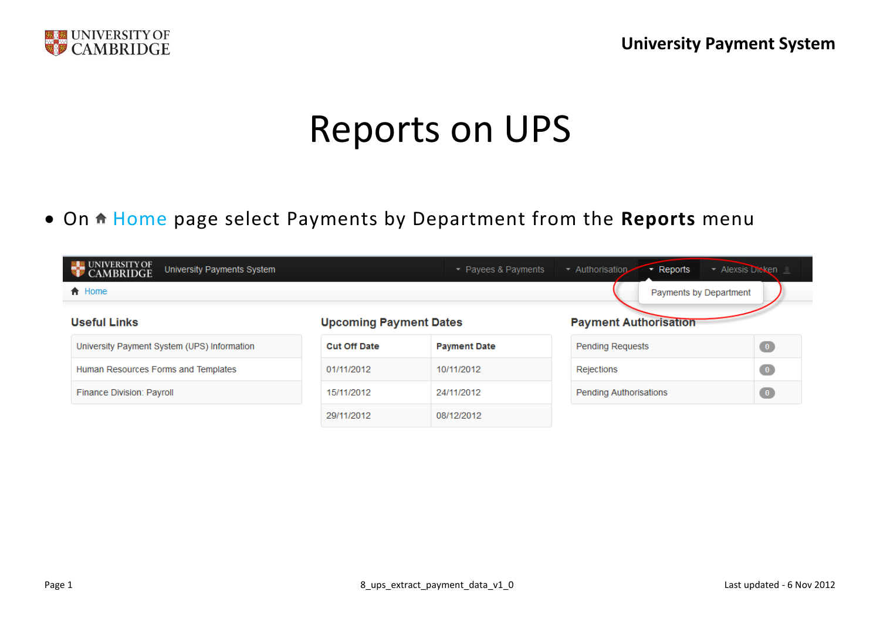

# Reports on UPS

• On  $\uparrow$  Home page select Payments by Department from the Reports menu

| <b>UNIVERSITY OF</b><br>University Payments System<br><b>CAMBRIDGE</b> |                               | $\sim$ Payees & Payments | ▼ Authorisation<br>$\overline{\phantom{a}}$ Reports | ▼ Alexsis Dicken L |
|------------------------------------------------------------------------|-------------------------------|--------------------------|-----------------------------------------------------|--------------------|
| <b>合</b> Home                                                          |                               |                          | Payments by Department                              |                    |
| <b>Useful Links</b>                                                    | <b>Upcoming Payment Dates</b> |                          | <b>Payment Authorisation</b>                        |                    |
| University Payment System (UPS) Information                            | <b>Cut Off Date</b>           | <b>Payment Date</b>      | <b>Pending Requests</b>                             | $\bullet$          |
| Human Resources Forms and Templates                                    | 01/11/2012                    | 10/11/2012               | Rejections                                          | $\bullet$          |
| Finance Division: Payroll                                              | 15/11/2012                    | 24/11/2012               | <b>Pending Authorisations</b>                       | $\bullet$          |
|                                                                        | 29/11/2012                    | 08/12/2012               |                                                     |                    |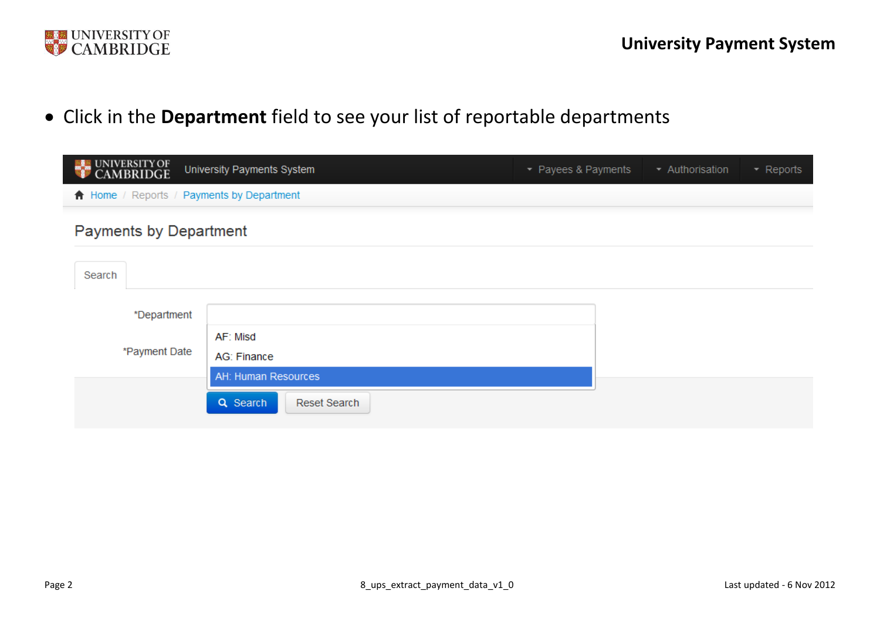

Click in the **Department** field to see your list of reportable departments

| <b>EXECUNIVERSITY OF</b>                  | University Payments System | • Payees & Payments | ▼ Authorisation | $\blacktriangleright$ Reports |
|-------------------------------------------|----------------------------|---------------------|-----------------|-------------------------------|
| ↑ Home / Reports / Payments by Department |                            |                     |                 |                               |
| <b>Payments by Department</b>             |                            |                     |                 |                               |
| Search                                    |                            |                     |                 |                               |
| *Department                               |                            |                     |                 |                               |
|                                           | AF: Misd                   |                     |                 |                               |
| *Payment Date                             | AG: Finance                |                     |                 |                               |
|                                           | AH: Human Resources        |                     |                 |                               |
|                                           | Q Search<br>Reset Search   |                     |                 |                               |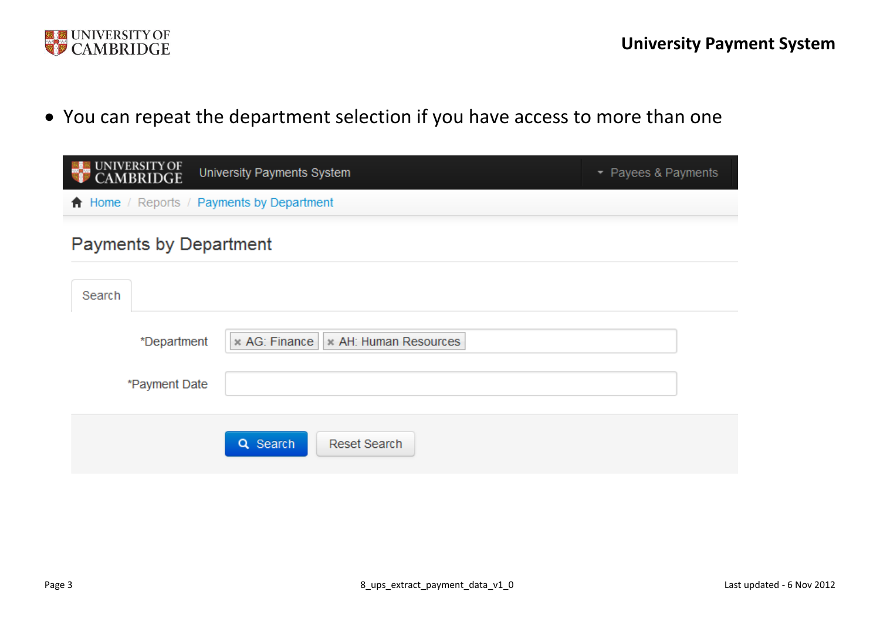

You can repeat the department selection if you have access to more than one

| UNIVERSITY OF<br>CAMBRIDGE<br>University Payments System | • Payees & Payments |
|----------------------------------------------------------|---------------------|
| ↑ Home / Reports / Payments by Department                |                     |
| <b>Payments by Department</b>                            |                     |
| Search                                                   |                     |
| * AG: Finance   * AH: Human Resources<br>*Department     |                     |
| *Payment Date                                            |                     |
| Q Search<br><b>Reset Search</b>                          |                     |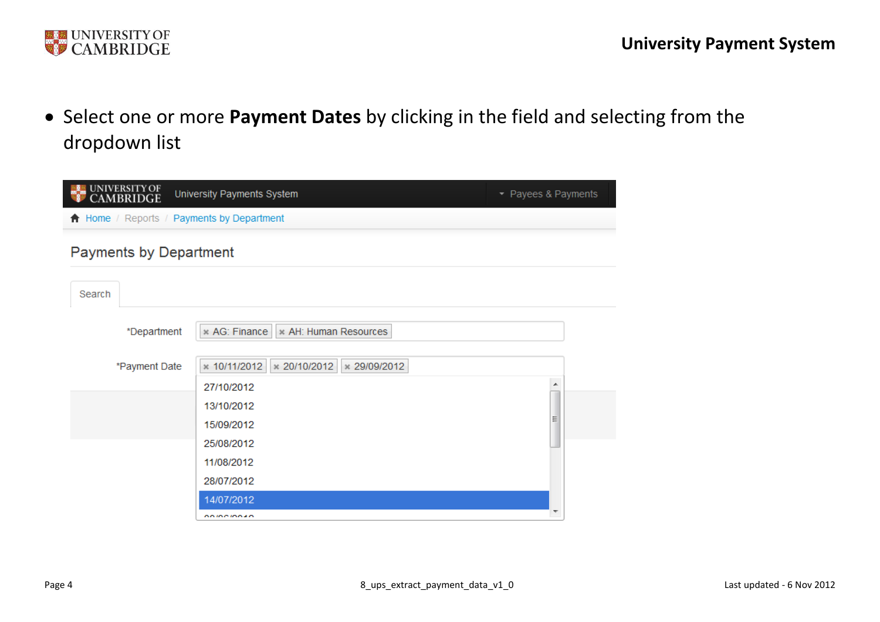

 Select one or more **Payment Dates** by clicking in the field and selecting from the dropdown list

| UNIVERSITY OF<br>CAMBRIDGE                | University Payments System                   | • Payees & Payments |
|-------------------------------------------|----------------------------------------------|---------------------|
| A Home / Reports / Payments by Department |                                              |                     |
| <b>Payments by Department</b>             |                                              |                     |
| Search                                    |                                              |                     |
| *Department                               | * AG: Finance   * AH: Human Resources        |                     |
| *Payment Date                             | * 10/11/2012<br>× 20/10/2012<br>× 29/09/2012 |                     |
|                                           | 27/10/2012                                   | ▲                   |
|                                           | 13/10/2012                                   |                     |
|                                           | 15/09/2012                                   |                     |
|                                           | 25/08/2012                                   |                     |
|                                           | 11/08/2012                                   |                     |
|                                           | 28/07/2012                                   |                     |
|                                           | 14/07/2012                                   |                     |
|                                           | <b><i><u>AAIAAIAA</u></i></b>                |                     |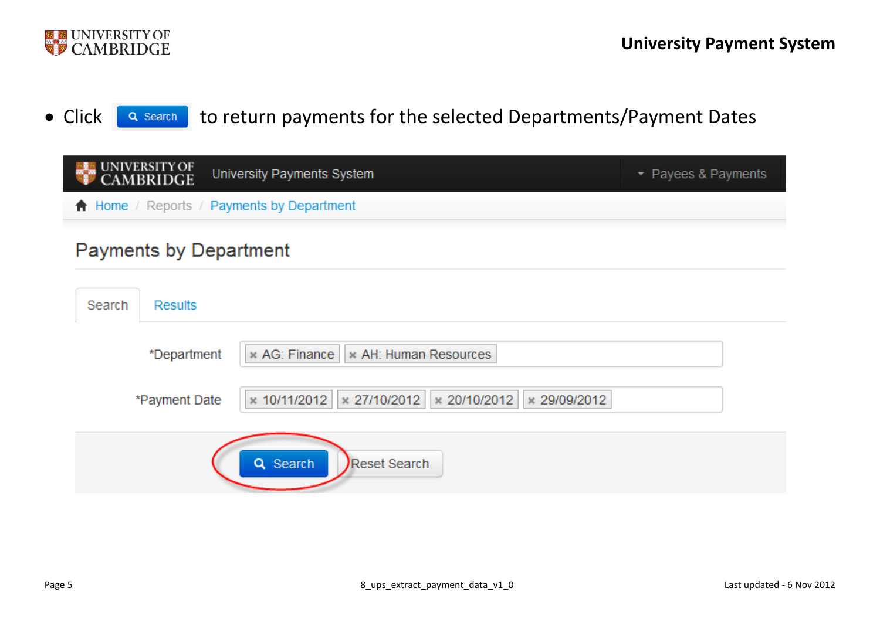

#### • Click **Q Search** to return payments for the selected Departments/Payment Dates

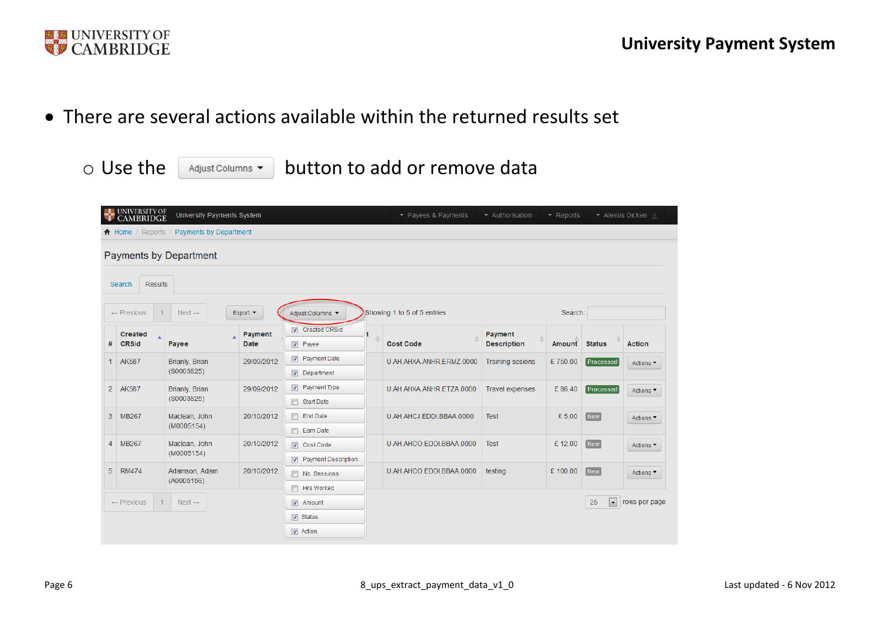

There are several actions available within the returned results set

 $\circ$  Use the  $\left\lceil \frac{1}{\text{Adjust Columns}} \cdot \right\rceil$  button to add or remove data

|                | <b>UNIVERSITY OF</b><br><b>CAMBRIDGE</b> | University Payments System    |                             |                                                      | - Payees & Payments         | Authorisation                 | $-$ Reports |                      | Alexsis Dicken               |
|----------------|------------------------------------------|-------------------------------|-----------------------------|------------------------------------------------------|-----------------------------|-------------------------------|-------------|----------------------|------------------------------|
|                | $\bigwedge$ Home / Reports               | Payments by Department        |                             |                                                      |                             |                               |             |                      |                              |
|                | <b>Results</b><br>Search                 | <b>Payments by Department</b> |                             |                                                      |                             |                               |             |                      |                              |
|                | $\leftarrow$ Previous                    | $Next \rightarrow$            | Export $\blacktriangledown$ | Adjust Columns                                       | Showing 1 to 5 of 5 entries |                               | Search:     |                      |                              |
| #              | <b>Created</b><br><b>CRSid</b>           | Payee                         | Payment<br>Date             | Created CRSid<br>$\nabla$ Payee                      | <b>Cost Code</b>            | Payment<br><b>Description</b> | Amount      | <b>Status</b>        | <b>Action</b>                |
| 1.             | <b>AK587</b>                             | Brianly, Brian<br>(S0003825)  | 29/09/2012                  | <b>V</b> Payment Date<br>$\nabla$ Department         | U.AH.AHXA.ANHR.ERMZ.0000    | <b>Training sesions</b>       | £750.00     | <b>Processed</b>     | Actions <sup>-</sup>         |
| $\overline{2}$ | AK587                                    | Brianly, Brian<br>(S0003825)  | 29/09/2012                  | <b>V</b> Payment Type<br>Start Date                  | U.AH.AHXA.ANHR.ETZA.0000    | <b>Travel expenses</b>        | £86.40      | <b>Processed</b>     | Actions <b>T</b>             |
| 3              | <b>MB267</b>                             | Maclean, John<br>(M0005154)   | 20/10/2012                  | <b>End Date</b><br>Earn Date                         | U.AH.AHCJ.EDDI.BBAA.0000    | <b>Test</b>                   | £5.00       | <b>New</b>           | Actions ▼                    |
| $\overline{4}$ | <b>MB267</b>                             | Maclean, John<br>(M0005154)   | 20/10/2012                  | $\sqrt{ }$ Cost Code<br><b>V</b> Payment Description | U.AH.AHCO.EDDI.BBAA.0000    | <b>Test</b>                   | £12.00      | <b>New</b>           | Actions ▼                    |
| 5              | <b>RM474</b>                             | Adamson, Adam<br>(A0005156)   | 20/10/2012                  | No. Sessions                                         | U.AH.AHCO.EDDI.BBAA.0000    | testing                       | £100.00     | <b>New</b>           | Actions $\blacktriangledown$ |
|                | $\leftarrow$ Previous                    | $Next \rightarrow$            |                             | <b>F</b> Hrs Worked<br>$\sqrt{ }$ Amount             |                             |                               |             | $\blacksquare$<br>25 | rows per page                |
|                |                                          |                               |                             | $\nabla$ Status<br>$\triangledown$ Action            |                             |                               |             |                      |                              |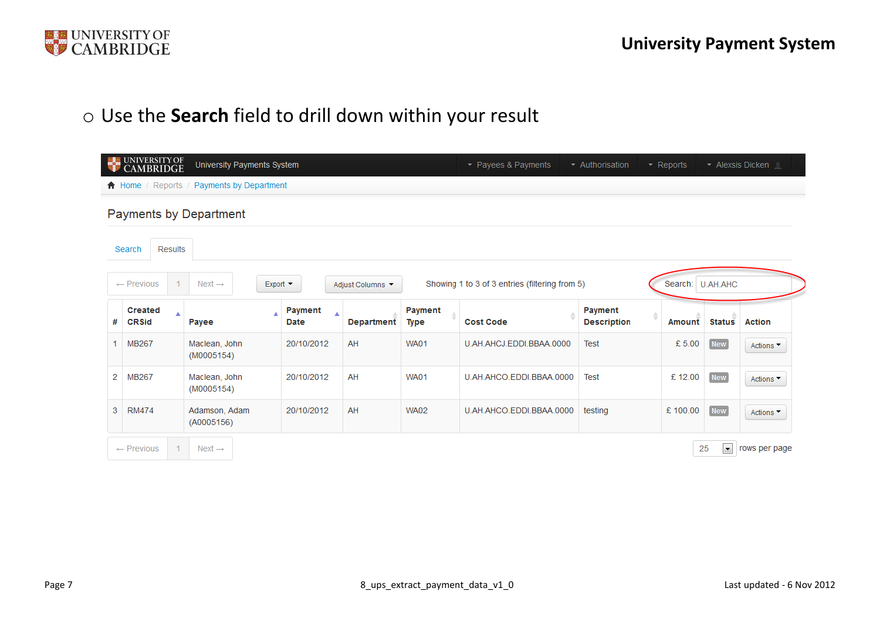

## o Use the **Search** field to drill down within your result

|    | <b>UNIVERSITY OF</b><br><b>MBRIDGE</b> | University Payments System                                                           |                             |                  |                 | • Payees & Payments                            | - Authorisation               | $\blacktriangleright$ Reports |                      | ▼ Alexsis Dicken |
|----|----------------------------------------|--------------------------------------------------------------------------------------|-----------------------------|------------------|-----------------|------------------------------------------------|-------------------------------|-------------------------------|----------------------|------------------|
|    |                                        | $\bigwedge$ Home / Reports / Payments by Department<br><b>Payments by Department</b> |                             |                  |                 |                                                |                               |                               |                      |                  |
|    | <b>Results</b><br>Search               |                                                                                      |                             |                  |                 |                                                |                               |                               |                      |                  |
|    | 1<br>$\leftarrow$ Previous             | Next $\rightarrow$                                                                   | Export                      | Adjust Columns ▼ |                 | Showing 1 to 3 of 3 entries (filtering from 5) |                               |                               | Search: U.AH.AHC     |                  |
| #  | <b>Created</b><br><b>CRSid</b>         | Á<br>Payee                                                                           | Payment<br>▲<br><b>Date</b> | Department       | Payment<br>Type | <b>Cost Code</b>                               | Payment<br><b>Description</b> | Amount                        | <b>Status</b>        | <b>Action</b>    |
| 1. | MB267                                  | Maclean, John<br>(M0005154)                                                          | 20/10/2012                  | AH               | <b>WA01</b>     | U.AH.AHCJ.EDDI.BBAA.0000                       | <b>Test</b>                   | £5.00                         | <b>New</b>           | Actions ▼        |
| 2  | MB267                                  | Maclean, John<br>(M0005154)                                                          | 20/10/2012                  | AH               | <b>WA01</b>     | U.AH.AHCO.EDDI.BBAA.0000                       | <b>Test</b>                   | £12.00                        | <b>New</b>           | Actions ▼        |
| 3  | <b>RM474</b>                           | Adamson, Adam<br>(A0005156)                                                          | 20/10/2012                  | AH               | <b>WA02</b>     | U.AH.AHCO.EDDI.BBAA.0000                       | testing                       | £100.00                       | <b>New</b>           | Actions ▼        |
|    | 1.<br>$\leftarrow$ Previous            | Next $\rightarrow$                                                                   |                             |                  |                 |                                                |                               |                               | $\blacksquare$<br>25 | rows per page    |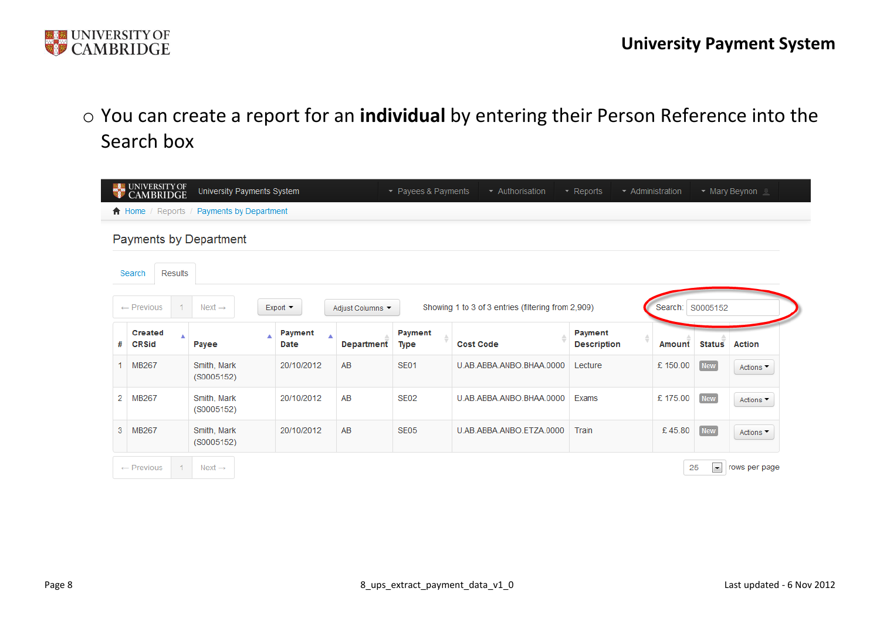

## o You can create a report for an **individual** by entering their Person Reference into the Search box

|   | <b>NE UNIVERSITY OF</b><br><b>CAMBRIDGE</b> | University Payments System    |                 |                  | ▼ Payees & Payments | - Authorisation                                    | $\sim$ Reports                | $\sim$ Administration |                              | • Mary Beynon L              |
|---|---------------------------------------------|-------------------------------|-----------------|------------------|---------------------|----------------------------------------------------|-------------------------------|-----------------------|------------------------------|------------------------------|
|   | ↑ Home / Reports                            | <b>Payments by Department</b> |                 |                  |                     |                                                    |                               |                       |                              |                              |
|   |                                             | <b>Payments by Department</b> |                 |                  |                     |                                                    |                               |                       |                              |                              |
|   | <b>Results</b><br>Search                    |                               |                 |                  |                     |                                                    |                               |                       |                              |                              |
|   | $\leftarrow$ Previous                       | Next $\rightarrow$            |                 |                  |                     |                                                    |                               |                       |                              |                              |
|   |                                             |                               | Export          | Adjust Columns ▼ |                     | Showing 1 to 3 of 3 entries (filtering from 2,909) |                               | Search: S0005152      |                              |                              |
| # | <b>Created</b><br><b>CRSid</b>              | Payee                         | Payment<br>Date | Department       | Payment<br>Type     | <b>Cost Code</b>                                   | Payment<br><b>Description</b> | Amount                | <b>Status</b>                | <b>Action</b>                |
| 1 | <b>MB267</b>                                | Smith, Mark<br>(S0005152)     | 20/10/2012      | AB               | <b>SE01</b>         | U.AB.ABBA.ANBO.BHAA.0000                           | Lecture                       | £150.00               | <b>New</b>                   | Actions ▼                    |
| 2 | <b>MB267</b>                                | Smith, Mark<br>(S0005152)     | 20/10/2012      | AB               | <b>SE02</b>         | U.AB.ABBA.ANBO.BHAA.0000                           | Exams                         | £175.00               | New                          | Actions $\blacktriangledown$ |
| 3 | MB267                                       | Smith, Mark<br>(S0005152)     | 20/10/2012      | AB               | <b>SE05</b>         | U.AB.ABBA.ANBO.ETZA.0000                           | Train                         | £45.80                | <b>New</b>                   | Actions $\blacktriangledown$ |
|   | $\leftarrow$ Previous                       | Next $\rightarrow$            |                 |                  |                     |                                                    |                               |                       | $\left  \cdot \right $<br>25 | rows per page                |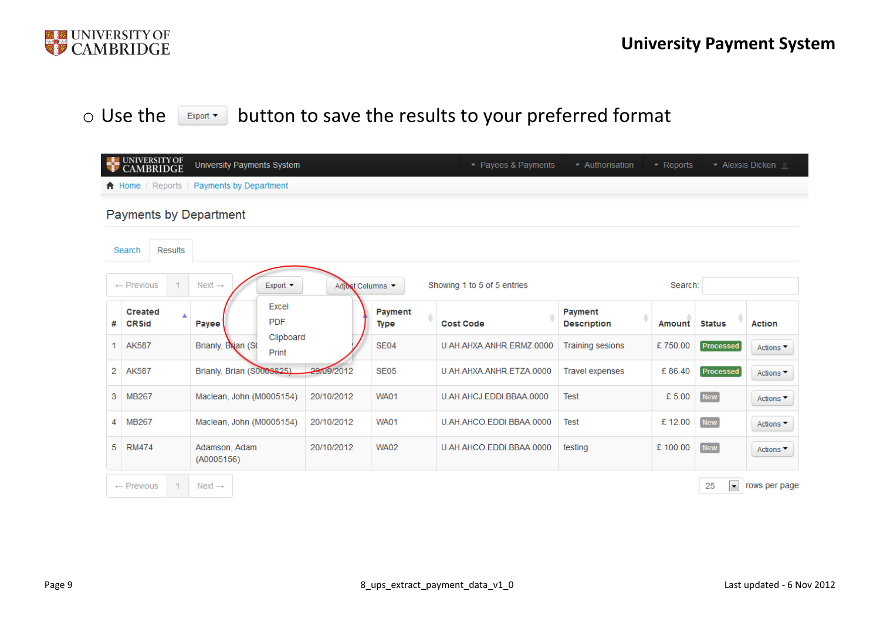

#### o Use the Export button to save the results to your preferred format

|    | <b>ELE UNIVERSITY OF</b><br><b>CAMBRIDGE</b> | University Payments System                          |                |                 | $\sim$ Payees & Payments    | - Authorisation               | $\blacktriangleright$ Reports |                                | ▼ Alexsis Dicken ■           |
|----|----------------------------------------------|-----------------------------------------------------|----------------|-----------------|-----------------------------|-------------------------------|-------------------------------|--------------------------------|------------------------------|
|    |                                              | $\bigwedge$ Home / Reports / Payments by Department |                |                 |                             |                               |                               |                                |                              |
|    | <b>Payments by Department</b>                |                                                     |                |                 |                             |                               |                               |                                |                              |
|    | <b>Results</b><br>Search                     |                                                     |                |                 |                             |                               |                               |                                |                              |
|    | $\leftarrow$ Previous<br>1.                  | $Next \rightarrow$<br>Export $\blacktriangledown$   | Adjust Columns |                 | Showing 1 to 5 of 5 entries |                               | Search:                       |                                |                              |
| #  | <b>Created</b><br><b>CRSid</b>               | Excel<br><b>PDF</b><br>Payee                        |                | Payment<br>Type | <b>Cost Code</b>            | Payment<br><b>Description</b> | Amount                        | <b>Status</b>                  | <b>Action</b>                |
| 1  | <b>AK587</b>                                 | Clipboard<br>Brianly, Brian (S)<br>Print            |                | <b>SE04</b>     | U.AH.AHXA.ANHR.ERMZ.0000    | <b>Training sesions</b>       | £750.00                       | Processed                      | Actions $\blacktriangledown$ |
| 2  | <b>AK587</b>                                 | Brianly, Brian (S0008825)                           | 29/09/2012     | <b>SE05</b>     | U.AH.AHXA.ANHR.ETZA.0000    | <b>Travel expenses</b>        | £86.40                        | Processed                      | Actions $\blacktriangledown$ |
| 3  | <b>MB267</b>                                 | Maclean, John (M0005154)                            | 20/10/2012     | <b>WA01</b>     | U.AH.AHCJ.EDDI.BBAA.0000    | <b>Test</b>                   | £ 5.00                        | <b>New</b>                     | Actions $\blacktriangledown$ |
| 4  | <b>MB267</b>                                 | Maclean, John (M0005154)                            | 20/10/2012     | <b>WA01</b>     | U.AH.AHCO.EDDI.BBAA.0000    | <b>Test</b>                   | £12.00                        | <b>New</b>                     | Actions $\blacktriangledown$ |
| 5. | <b>RM474</b>                                 | Adamson, Adam<br>(A0005156)                         | 20/10/2012     | <b>WA02</b>     | U.AH.AHCO.EDDI.BBAA.0000    | testing                       | £100.00                       | <b>New</b>                     | Actions ▼                    |
|    | 1.<br>$\leftarrow$ Previous                  | Next $\rightarrow$                                  |                |                 |                             |                               |                               | $\overline{\phantom{a}}$<br>25 | rows per page                |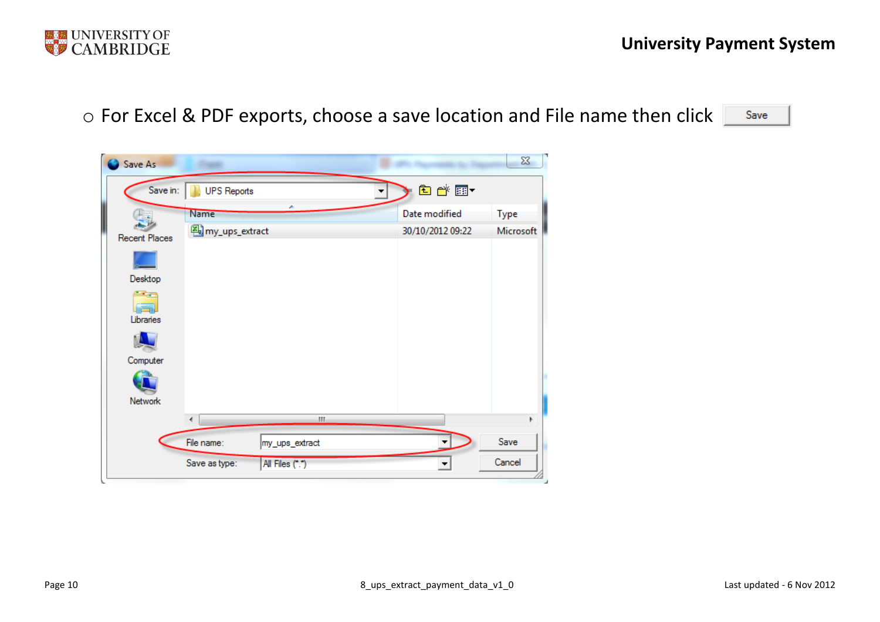

o For Excel & PDF exports, choose a save location and File name then click

Save